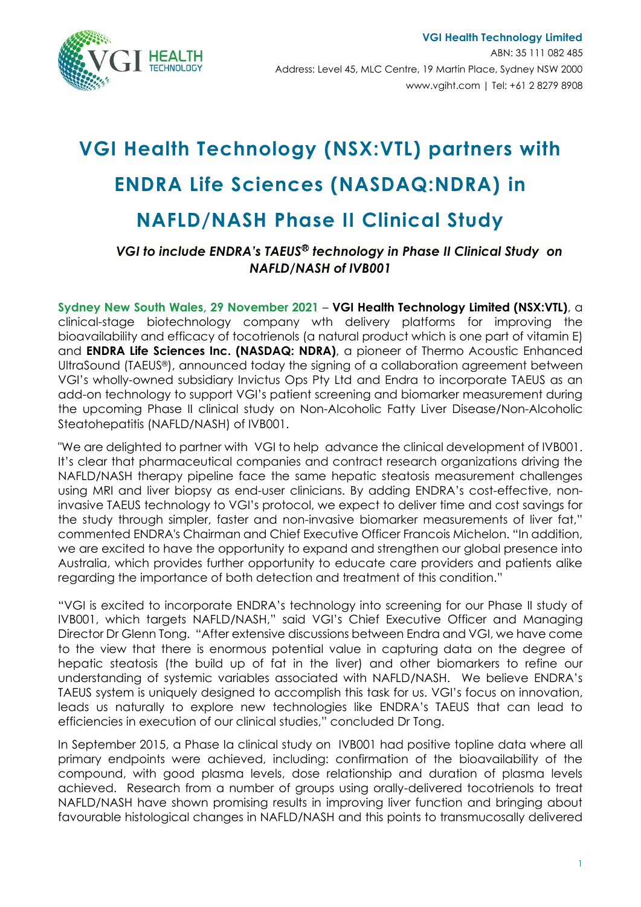

# **VGI Health Technology (NSX:VTL) partners with ENDRA Life Sciences (NASDAQ:NDRA) in**

## **NAFLD/NASH Phase II Clinical Study**

### *VGI to include ENDRA's TAEUS*Ⓡ *technology in Phase II Clinical Study on NAFLD/NASH of IVB001*

**Sydney New South Wales, 29 November 2021** – **VGI Health Technology Limited (NSX:VTL)**, a clinical-stage biotechnology company wth delivery platforms for improving the bioavailability and efficacy of tocotrienols (a natural product which is one part of vitamin E) and **[ENDRA Life Sciences Inc.](http://pr.report/vL4qsJx3) (NASDAQ: NDRA)**, a pioneer of Thermo Acoustic Enhanced UltraSound (TAEUS®), announced today the signing of a collaboration agreement between VGI's wholly-owned subsidiary Invictus Ops Pty Ltd and Endra to incorporate TAEUS as an add-on technology to support VGI's patient screening and biomarker measurement during the upcoming Phase II clinical study on Non-Alcoholic Fatty Liver Disease/Non-Alcoholic Steatohepatitis (NAFLD/NASH) of IVB001.

"We are delighted to partner with VGI to help advance the clinical development of IVB001. It's clear that pharmaceutical companies and contract research organizations driving the NAFLD/NASH therapy pipeline face the same hepatic steatosis measurement challenges using MRI and liver biopsy as end-user clinicians. By adding ENDRA's cost-effective, noninvasive TAEUS technology to VGI's protocol, we expect to deliver time and cost savings for the study through simpler, faster and non-invasive biomarker measurements of liver fat," commented ENDRA's Chairman and Chief Executive Officer Francois Michelon. "In addition, we are excited to have the opportunity to expand and strengthen our global presence into Australia, which provides further opportunity to educate care providers and patients alike regarding the importance of both detection and treatment of this condition."

"VGI is excited to incorporate ENDRA's technology into screening for our Phase II study of IVB001, which targets NAFLD/NASH," said VGI's Chief Executive Officer and Managing Director Dr Glenn Tong. "After extensive discussions between Endra and VGI, we have come to the view that there is enormous potential value in capturing data on the degree of hepatic steatosis (the build up of fat in the liver) and other biomarkers to refine our understanding of systemic variables associated with NAFLD/NASH. We believe ENDRA's TAEUS system is uniquely designed to accomplish this task for us. VGI's focus on innovation, leads us naturally to explore new technologies like ENDRA's TAEUS that can lead to efficiencies in execution of our clinical studies," concluded Dr Tong.

In September 2015, a Phase Ia clinical study on IVB001 had positive topline data where all primary endpoints were achieved, including: confirmation of the bioavailability of the compound, with good plasma levels, dose relationship and duration of plasma levels achieved. Research from a number of groups using orally-delivered tocotrienols to treat NAFLD/NASH have shown promising results in improving liver function and bringing about favourable histological changes in NAFLD/NASH and this points to transmucosally delivered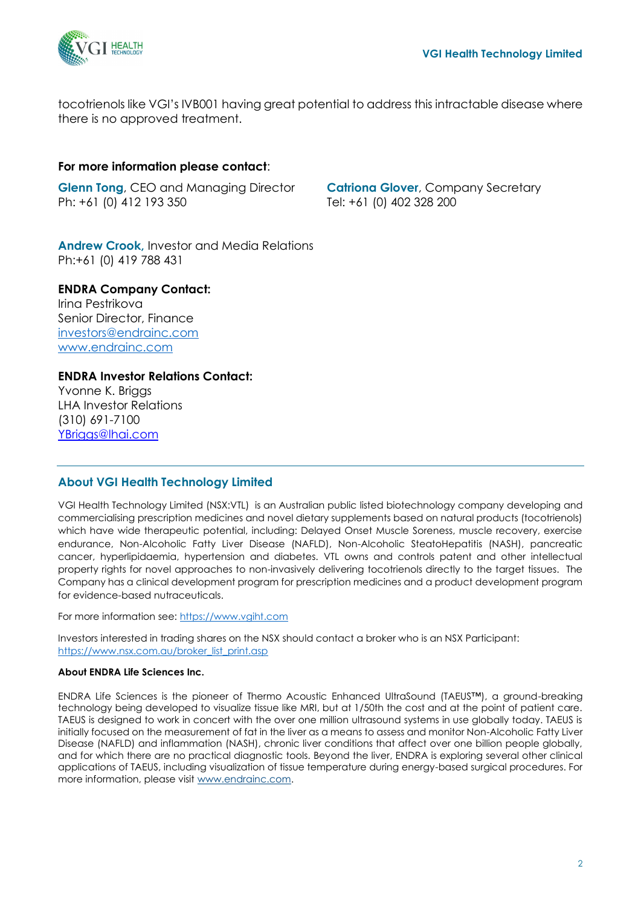

tocotrienols like VGI's IVB001 having great potential to address this intractable disease where there is no approved treatment.

#### **For more information please contact**:

**Glenn Tong**, CEO and Managing Director Ph: +61 (0) 412 193 350

**Catriona Glover**, Company Secretary Tel: +61 (0) 402 328 200

**Andrew Crook,** Investor and Media Relations Ph:+61 (0) 419 788 431

#### **ENDRA Company Contact:**

Irina Pestrikova Senior Director, Finance [investors@endrainc.com](mailto:investors@endrainc.com) [www.endrainc.com](http://www.endrainc.com/)

#### **ENDRA Investor Relations Contact:**

Yvonne K. Briggs LHA Investor Relations (310) 691-7100 [YBriggs@lhai.com](mailto:YBriggs@lhai.com)

#### **About VGI Health Technology Limited**

VGI Health Technology Limited (NSX:VTL) is an Australian public listed biotechnology company developing and commercialising prescription medicines and novel dietary supplements based on natural products (tocotrienols) which have wide therapeutic potential, including: Delayed Onset Muscle Soreness, muscle recovery, exercise endurance, Non-Alcoholic Fatty Liver Disease (NAFLD), Non-Alcoholic SteatoHepatitis (NASH), pancreatic cancer, hyperlipidaemia, hypertension and diabetes. VTL owns and controls patent and other intellectual property rights for novel approaches to non-invasively delivering tocotrienols directly to the target tissues. The Company has a clinical development program for prescription medicines and a product development program for evidence-based nutraceuticals.

For more information see: [https://www.vgiht.com](about:blank)

Investors interested in trading shares on the NSX should contact a broker who is an NSX Participant: [https://www.nsx.com.au/broker\\_list\\_print.asp](about:blank)

#### **About ENDRA Life Sciences Inc.**

ENDRA Life Sciences is the pioneer of Thermo Acoustic Enhanced UltraSound (TAEUS™), a ground-breaking technology being developed to visualize tissue like MRI, but at 1/50th the cost and at the point of patient care. TAEUS is designed to work in concert with the over one million ultrasound systems in use globally today. TAEUS is initially focused on the measurement of fat in the liver as a means to assess and monitor Non-Alcoholic Fatty Liver Disease (NAFLD) and inflammation (NASH), chronic liver conditions that affect over one billion people globally, and for which there are no practical diagnostic tools. Beyond the liver, ENDRA is exploring several other clinical applications of TAEUS, including visualization of tissue temperature during energy-based surgical procedures. For more information, please visit [www.endrainc.com.](https://pr.report/RqfCz1J3)